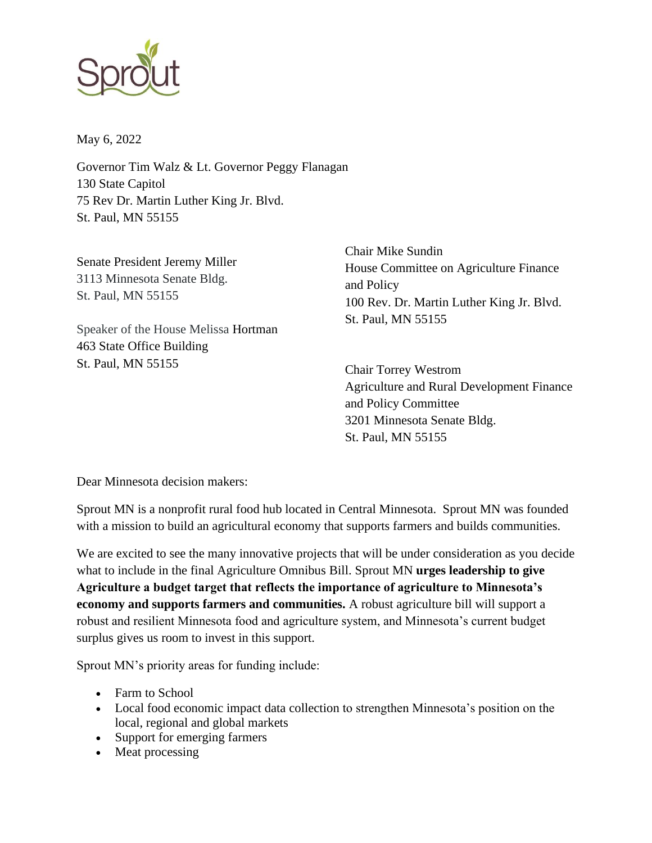

May 6, 2022

Governor Tim Walz & Lt. Governor Peggy Flanagan 130 State Capitol 75 Rev Dr. Martin Luther King Jr. Blvd. St. Paul, MN 55155

Senate President Jeremy Miller 3113 Minnesota Senate Bldg. St. Paul, MN 55155

Speaker of the House Melissa Hortman 463 State Office Building St. Paul, MN 55155

Chair Mike Sundin House Committee on Agriculture Finance and Policy 100 Rev. Dr. Martin Luther King Jr. Blvd. St. Paul, MN 55155

Chair Torrey Westrom Agriculture and Rural Development Finance and Policy Committee 3201 Minnesota Senate Bldg. St. Paul, MN 55155

Dear Minnesota decision makers:

Sprout MN is a nonprofit rural food hub located in Central Minnesota. Sprout MN was founded with a mission to build an agricultural economy that supports farmers and builds communities.

We are excited to see the many innovative projects that will be under consideration as you decide what to include in the final Agriculture Omnibus Bill. Sprout MN **urges leadership to give Agriculture a budget target that reflects the importance of agriculture to Minnesota's economy and supports farmers and communities.** A robust agriculture bill will support a robust and resilient Minnesota food and agriculture system, and Minnesota's current budget surplus gives us room to invest in this support.

Sprout MN's priority areas for funding include:

- Farm to School
- Local food economic impact data collection to strengthen Minnesota's position on the local, regional and global markets
- Support for emerging farmers
- Meat processing